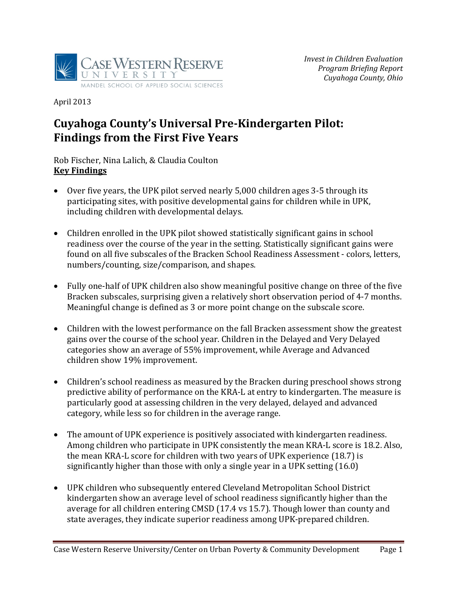

April 2013 

# **Cuyahoga County's Universal Pre‐Kindergarten Pilot: Findings from the First Five Years**

#### Rob Fischer, Nina Lalich, & Claudia Coulton **Key Findings**

- Over five years, the UPK pilot served nearly  $5,000$  children ages 3-5 through its participating sites, with positive developmental gains for children while in UPK, including children with developmental delays.
- Children enrolled in the UPK pilot showed statistically significant gains in school readiness over the course of the year in the setting. Statistically significant gains were found on all five subscales of the Bracken School Readiness Assessment - colors, letters, numbers/counting, size/comparison, and shapes.
- Fully one-half of UPK children also show meaningful positive change on three of the five Bracken subscales, surprising given a relatively short observation period of 4-7 months. Meaningful change is defined as 3 or more point change on the subscale score.
- Children with the lowest performance on the fall Bracken assessment show the greatest gains over the course of the school year. Children in the Delayed and Very Delayed categories show an average of 55% improvement, while Average and Advanced children show 19% improvement.
- Children's school readiness as measured by the Bracken during preschool shows strong predictive ability of performance on the KRA-L at entry to kindergarten. The measure is particularly good at assessing children in the very delayed, delayed and advanced category, while less so for children in the average range.
- The amount of UPK experience is positively associated with kindergarten readiness. Among children who participate in UPK consistently the mean KRA-L score is 18.2. Also, the mean KRA-L score for children with two years of UPK experience  $(18.7)$  is significantly higher than those with only a single year in a UPK setting  $(16.0)$
- UPK children who subsequently entered Cleveland Metropolitan School District kindergarten show an average level of school readiness significantly higher than the average for all children entering CMSD (17.4 vs 15.7). Though lower than county and state averages, they indicate superior readiness among UPK-prepared children.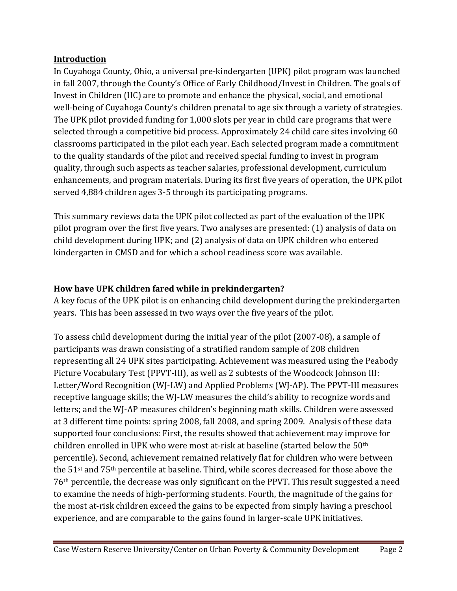## **Introduction**

In Cuyahoga County, Ohio, a universal pre-kindergarten (UPK) pilot program was launched in fall 2007, through the County's Office of Early Childhood/Invest in Children. The goals of Invest in Children (IIC) are to promote and enhance the physical, social, and emotional well-being of Cuyahoga County's children prenatal to age six through a variety of strategies. The UPK pilot provided funding for 1,000 slots per year in child care programs that were selected through a competitive bid process. Approximately 24 child care sites involving 60 classrooms participated in the pilot each year. Each selected program made a commitment to the quality standards of the pilot and received special funding to invest in program quality, through such aspects as teacher salaries, professional development, curriculum enhancements, and program materials. During its first five years of operation, the UPK pilot served 4,884 children ages 3-5 through its participating programs.

This summary reviews data the UPK pilot collected as part of the evaluation of the UPK pilot program over the first five years. Two analyses are presented: (1) analysis of data on child development during UPK; and (2) analysis of data on UPK children who entered kindergarten in CMSD and for which a school readiness score was available.

## **How have UPK children fared while in prekindergarten?**

A key focus of the UPK pilot is on enhancing child development during the prekindergarten years. This has been assessed in two ways over the five years of the pilot.

To assess child development during the initial year of the pilot (2007-08), a sample of participants was drawn consisting of a stratified random sample of 208 children representing all 24 UPK sites participating. Achievement was measured using the Peabody Picture Vocabulary Test (PPVT-III), as well as 2 subtests of the Woodcock Johnson III: Letter/Word Recognition (WJ-LW) and Applied Problems (WJ-AP). The PPVT-III measures receptive language skills; the WJ-LW measures the child's ability to recognize words and letters; and the WJ-AP measures children's beginning math skills. Children were assessed at 3 different time points: spring 2008, fall 2008, and spring 2009. Analysis of these data supported four conclusions: First, the results showed that achievement may improve for children enrolled in UPK who were most at-risk at baseline (started below the  $50<sup>th</sup>$ percentile). Second, achievement remained relatively flat for children who were between the  $51<sup>st</sup>$  and  $75<sup>th</sup>$  percentile at baseline. Third, while scores decreased for those above the  $76<sup>th</sup>$  percentile, the decrease was only significant on the PPVT. This result suggested a need to examine the needs of high-performing students. Fourth, the magnitude of the gains for the most at-risk children exceed the gains to be expected from simply having a preschool experience, and are comparable to the gains found in larger-scale UPK initiatives.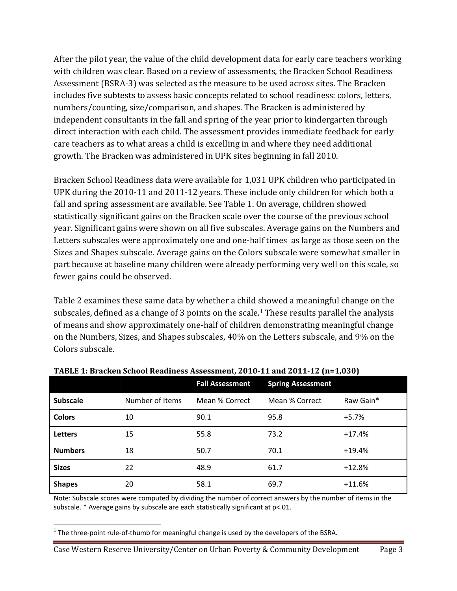After the pilot year, the value of the child development data for early care teachers working with children was clear. Based on a review of assessments, the Bracken School Readiness Assessment (BSRA-3) was selected as the measure to be used across sites. The Bracken includes five subtests to assess basic concepts related to school readiness: colors, letters, numbers/counting, size/comparison, and shapes. The Bracken is administered by independent consultants in the fall and spring of the year prior to kindergarten through direct interaction with each child. The assessment provides immediate feedback for early care teachers as to what areas a child is excelling in and where they need additional growth. The Bracken was administered in UPK sites beginning in fall 2010.

Bracken School Readiness data were available for 1,031 UPK children who participated in UPK during the 2010-11 and 2011-12 years. These include only children for which both a fall and spring assessment are available. See Table 1. On average, children showed statistically significant gains on the Bracken scale over the course of the previous school year. Significant gains were shown on all five subscales. Average gains on the Numbers and Letters subscales were approximately one and one-half times as large as those seen on the Sizes and Shapes subscale. Average gains on the Colors subscale were somewhat smaller in part because at baseline many children were already performing very well on this scale, so fewer gains could be observed.

Table 2 examines these same data by whether a child showed a meaningful change on the subscales, defined as a change of 3 points on the scale.<sup>1</sup> These results parallel the analysis of means and show approximately one-half of children demonstrating meaningful change on the Numbers, Sizes, and Shapes subscales, 40% on the Letters subscale, and 9% on the Colors subscale.

|                 |                 | <b>Fall Assessment</b> | <b>Spring Assessment</b> |           |
|-----------------|-----------------|------------------------|--------------------------|-----------|
| <b>Subscale</b> | Number of Items | Mean % Correct         | Mean % Correct           | Raw Gain* |
| <b>Colors</b>   | 10              | 90.1                   | 95.8                     | $+5.7%$   |
| <b>Letters</b>  | 15              | 55.8                   | 73.2                     | $+17.4%$  |
| <b>Numbers</b>  | 18              | 50.7                   | 70.1                     | $+19.4%$  |
| <b>Sizes</b>    | 22              | 48.9                   | 61.7                     | $+12.8%$  |
| <b>Shapes</b>   | 20              | 58.1                   | 69.7                     | $+11.6%$  |

#### **TABLE 1: Bracken School Readiness Assessment, 2010‐11 and 2011‐12 (n=1,030)**

Note: Subscale scores were computed by dividing the number of correct answers by the number of items in the subscale. \* Average gains by subscale are each statistically significant at p<.01.

 $1$  The three-point rule-of-thumb for meaningful change is used by the developers of the BSRA.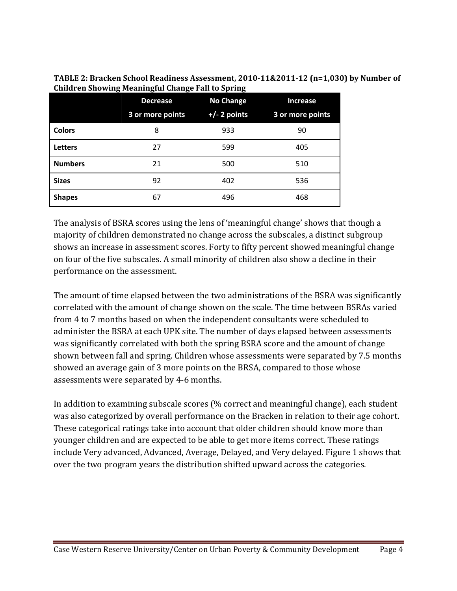|                | <b>Decrease</b>  | <b>No Change</b> | <b>Increase</b>  |  |
|----------------|------------------|------------------|------------------|--|
|                | 3 or more points | $+/- 2$ points   | 3 or more points |  |
| <b>Colors</b>  | 8                | 933              | 90               |  |
| <b>Letters</b> | 27               | 599              | 405              |  |
| <b>Numbers</b> | 21               | 500              | 510              |  |
| <b>Sizes</b>   | 92               | 402              | 536              |  |
| <b>Shapes</b>  | 67               | 496              | 468              |  |

**TABLE 2: Bracken School Readiness Assessment, 2010‐11&2011‐12 (n=1,030) by Number of Children Showing Meaningful Change Fall to Spring**

The analysis of BSRA scores using the lens of 'meaningful change' shows that though a majority of children demonstrated no change across the subscales, a distinct subgroup shows an increase in assessment scores. Forty to fifty percent showed meaningful change on four of the five subscales. A small minority of children also show a decline in their performance on the assessment.

The amount of time elapsed between the two administrations of the BSRA was significantly correlated with the amount of change shown on the scale. The time between BSRAs varied from 4 to 7 months based on when the independent consultants were scheduled to administer the BSRA at each UPK site. The number of days elapsed between assessments was significantly correlated with both the spring BSRA score and the amount of change shown between fall and spring. Children whose assessments were separated by 7.5 months showed an average gain of 3 more points on the BRSA, compared to those whose assessments were separated by 4-6 months.

In addition to examining subscale scores (% correct and meaningful change), each student was also categorized by overall performance on the Bracken in relation to their age cohort. These categorical ratings take into account that older children should know more than younger children and are expected to be able to get more items correct. These ratings include Very advanced, Advanced, Average, Delayed, and Very delayed. Figure 1 shows that over the two program years the distribution shifted upward across the categories.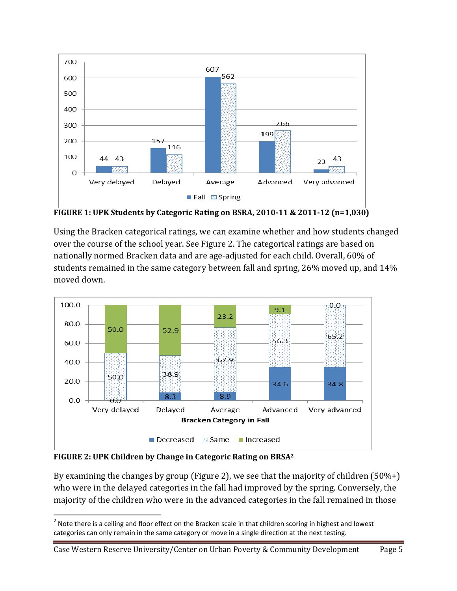

**FIGURE 1: UPK Students by Categoric Rating on BSRA, 2010‐11 & 2011‐12 (n=1,030)**

Using the Bracken categorical ratings, we can examine whether and how students changed over the course of the school year. See Figure 2. The categorical ratings are based on nationally normed Bracken data and are age-adjusted for each child. Overall, 60% of students remained in the same category between fall and spring,  $26\%$  moved up, and  $14\%$ moved down.



**FIGURE 2: UPK Children by Change in Categoric Rating on BRSA2**

By examining the changes by group (Figure 2), we see that the majority of children  $(50\%+)$ who were in the delayed categories in the fall had improved by the spring. Conversely, the majority of the children who were in the advanced categories in the fall remained in those

Case Western Reserve University/Center on Urban Poverty & Community Development Page 5

  $^2$  Note there is a ceiling and floor effect on the Bracken scale in that children scoring in highest and lowest categories can only remain in the same category or move in a single direction at the next testing.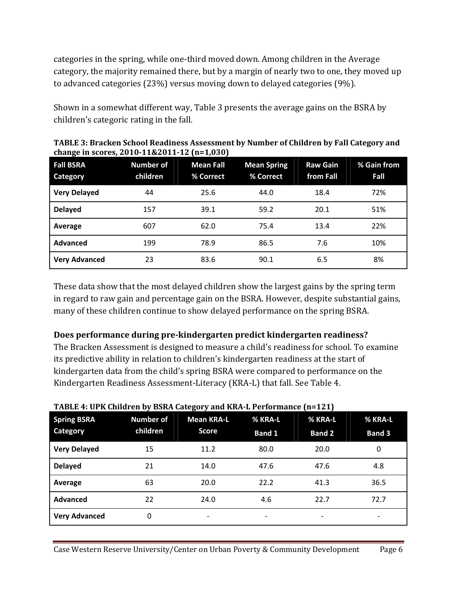categories in the spring, while one-third moved down. Among children in the Average category, the majority remained there, but by a margin of nearly two to one, they moved up to advanced categories (23%) versus moving down to delayed categories (9%).

Shown in a somewhat different way, Table 3 presents the average gains on the BSRA by children's categoric rating in the fall.

| $\mathbf{\sigma}$ -          |                              | , ,                           |                                 |                              |                     |
|------------------------------|------------------------------|-------------------------------|---------------------------------|------------------------------|---------------------|
| <b>Fall BSRA</b><br>Category | <b>Number of</b><br>children | <b>Mean Fall</b><br>% Correct | <b>Mean Spring</b><br>% Correct | <b>Raw Gain</b><br>from Fall | % Gain from<br>Fall |
| <b>Very Delayed</b>          | 44                           | 25.6                          | 44.0                            | 18.4                         | 72%                 |
| <b>Delayed</b>               | 157                          | 39.1                          | 59.2                            | 20.1                         | 51%                 |
| Average                      | 607                          | 62.0                          | 75.4                            | 13.4                         | 22%                 |
| Advanced                     | 199                          | 78.9                          | 86.5                            | 7.6                          | 10%                 |
| <b>Very Advanced</b>         | 23                           | 83.6                          | 90.1                            | 6.5                          | 8%                  |

**TABLE 3: Bracken School Readiness Assessment by Number of Children by Fall Category and change in scores, 2010‐11&2011‐12 (n=1,030)**

These data show that the most delayed children show the largest gains by the spring term in regard to raw gain and percentage gain on the BSRA. However, despite substantial gains, many of these children continue to show delayed performance on the spring BSRA.

#### **Does performance during pre‐kindergarten predict kindergarten readiness?**

The Bracken Assessment is designed to measure a child's readiness for school. To examine its predictive ability in relation to children's kindergarten readiness at the start of kindergarten data from the child's spring BSRA were compared to performance on the Kindergarten Readiness Assessment-Literacy (KRA-L) that fall. See Table 4.

| <b>Spring BSRA</b><br>Category | <b>Number of</b><br>children | <b>Mean KRA-L</b><br><b>Score</b> | % KRA-L<br><b>Band 1</b> | % KRA-L<br><b>Band 2</b> | % KRA-L<br><b>Band 3</b> |
|--------------------------------|------------------------------|-----------------------------------|--------------------------|--------------------------|--------------------------|
| <b>Very Delayed</b>            | 15                           | 11.2                              | 80.0                     | 20.0                     | 0                        |
| <b>Delayed</b>                 | 21                           | 14.0                              | 47.6                     | 47.6                     | 4.8                      |
| Average                        | 63                           | 20.0                              | 22.2                     | 41.3                     | 36.5                     |
| <b>Advanced</b>                | 22                           | 24.0                              | 4.6                      | 22.7                     | 72.7                     |
| <b>Very Advanced</b>           | 0                            | ٠                                 | $\overline{\phantom{a}}$ | -                        |                          |

#### **TABLE 4: UPK Children by BSRA Category and KRA‐L Performance (n=121)**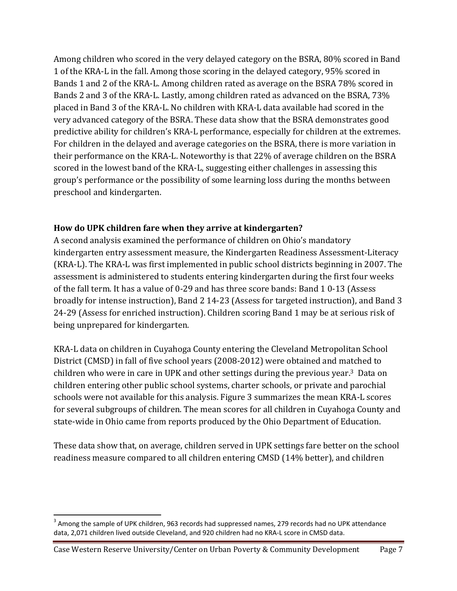Among children who scored in the very delayed category on the BSRA, 80% scored in Band 1 of the KRA-L in the fall. Among those scoring in the delayed category, 95% scored in Bands 1 and 2 of the KRA-L. Among children rated as average on the BSRA 78% scored in Bands 2 and 3 of the KRA-L. Lastly, among children rated as advanced on the BSRA, 73% placed in Band 3 of the KRA-L. No children with KRA-L data available had scored in the very advanced category of the BSRA. These data show that the BSRA demonstrates good predictive ability for children's KRA-L performance, especially for children at the extremes. For children in the delayed and average categories on the BSRA, there is more variation in their performance on the KRA-L. Noteworthy is that 22% of average children on the BSRA scored in the lowest band of the KRA-L, suggesting either challenges in assessing this group's performance or the possibility of some learning loss during the months between preschool and kindergarten.

### **How do UPK children fare when they arrive at kindergarten?**

A second analysis examined the performance of children on Ohio's mandatory kindergarten entry assessment measure, the Kindergarten Readiness Assessment-Literacy (KRA-L). The KRA-L was first implemented in public school districts beginning in 2007. The assessment is administered to students entering kindergarten during the first four weeks of the fall term. It has a value of 0-29 and has three score bands: Band 1 0-13 (Assess broadly for intense instruction), Band 2 14-23 (Assess for targeted instruction), and Band 3 24-29 (Assess for enriched instruction). Children scoring Band 1 may be at serious risk of being unprepared for kindergarten.

KRA-L data on children in Cuyahoga County entering the Cleveland Metropolitan School District (CMSD) in fall of five school years (2008-2012) were obtained and matched to children who were in care in UPK and other settings during the previous year.<sup>3</sup> Data on children entering other public school systems, charter schools, or private and parochial schools were not available for this analysis. Figure 3 summarizes the mean KRA-L scores for several subgroups of children. The mean scores for all children in Cuyahoga County and state-wide in Ohio came from reports produced by the Ohio Department of Education.

These data show that, on average, children served in UPK settings fare better on the school readiness measure compared to all children entering CMSD (14% better), and children

  $3$  Among the sample of UPK children, 963 records had suppressed names, 279 records had no UPK attendance data, 2,071 children lived outside Cleveland, and 920 children had no KRA‐L score in CMSD data.

Case Western Reserve University/Center on Urban Poverty & Community Development Page 7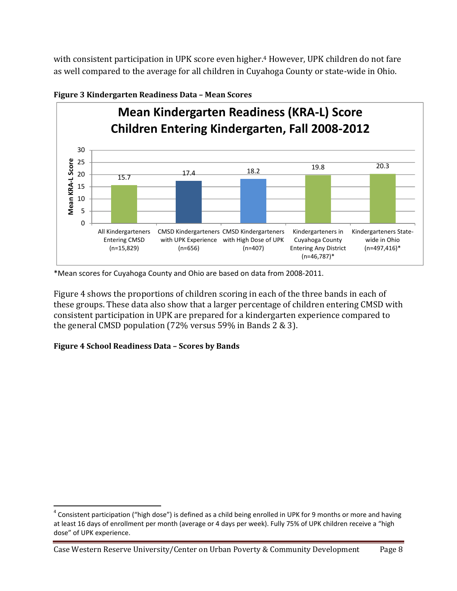with consistent participation in UPK score even higher.<sup>4</sup> However, UPK children do not fare as well compared to the average for all children in Cuyahoga County or state-wide in Ohio.



#### **Figure 3 Kindergarten Readiness Data – Mean Scores**

\*Mean scores for Cuyahoga County and Ohio are based on data from 2008‐2011.

Figure 4 shows the proportions of children scoring in each of the three bands in each of these groups. These data also show that a larger percentage of children entering CMSD with consistent participation in UPK are prepared for a kindergarten experience compared to the general CMSD population  $(72\%$  versus 59% in Bands 2 & 3).

#### **Figure 4 School Readiness Data – Scores by Bands**

 $4$  Consistent participation ("high dose") is defined as a child being enrolled in UPK for 9 months or more and having at least 16 days of enrollment per month (average or 4 days per week). Fully 75% of UPK children receive a "high dose" of UPK experience.

Case Western Reserve University/Center on Urban Poverty & Community Development Page 8